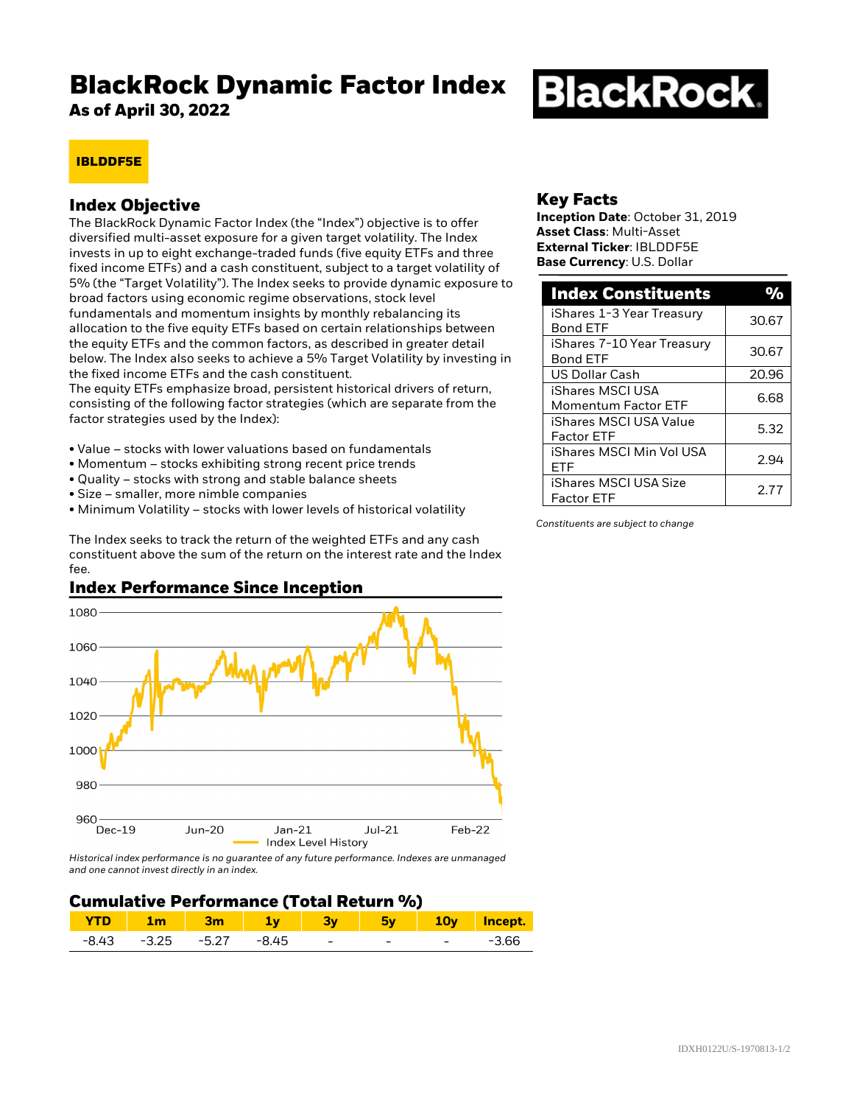# **BlackRock Dynamic Factor Index**

**As of April 30, 2022**

# **BlackRock.**

# **IBLDDF5E**

## **Index Objective**

The BlackRock Dynamic Factor Index (the "Index") objective is to offer diversified multi-asset exposure for a given target volatility. The Index invests in up to eight exchange-traded funds (five equity ETFs and three fixed income ETFs) and a cash constituent, subject to a target volatility of 5% (the "Target Volatility"). The Index seeks to provide dynamic exposure to broad factors using economic regime observations, stock level fundamentals and momentum insights by monthly rebalancing its allocation to the five equity ETFs based on certain relationships between the equity ETFs and the common factors, as described in greater detail below. The Index also seeks to achieve a 5% Target Volatility by investing in the fixed income ETFs and the cash constituent.

The equity ETFs emphasize broad, persistent historical drivers of return, consisting of the following factor strategies (which are separate from the factor strategies used by the Index):

- Value stocks with lower valuations based on fundamentals
- Momentum stocks exhibiting strong recent price trends
- Quality stocks with strong and stable balance sheets
- Size smaller, more nimble companies
- Minimum Volatility stocks with lower levels of historical volatility

The Index seeks to track the return of the weighted ETFs and any cash constituent above the sum of the return on the interest rate and the Index fee.

# **Index Performance Since Inception**



*Historical index performance is no guarantee of any future performance. Indexes are unmanaged and one cannot invest directly in an index.*

#### **Cumulative Performance (Total Return %)**

|         | ım          | 3m |       |            | 5v |   | 10y Incept. |
|---------|-------------|----|-------|------------|----|---|-------------|
| $-8.43$ | -3.25 -5.27 |    | -8.45 | $\sim$ $-$ | -  | - | -3.66       |

## **Key Facts**

**Inception Date**: October 31, 2019 **Asset Class**: Multi-Asset **External Ticker**: IBLDDF5E **Base Currency**: U.S. Dollar

| <b>Index Constituents</b>    |       |  |
|------------------------------|-------|--|
| iShares 1-3 Year Treasury    | 30.67 |  |
| <b>Bond ETF</b>              |       |  |
| iShares 7-10 Year Treasury   | 30.67 |  |
| <b>Bond ETF</b>              |       |  |
| US Dollar Cash               | 20.96 |  |
| iShares MSCI USA             | 6.68  |  |
| <b>Momentum Factor ETF</b>   |       |  |
| iShares MSCI USA Value       | 5.32  |  |
| <b>Factor ETF</b>            |       |  |
| iShares MSCI Min Vol USA     |       |  |
| FTF                          | 2.94  |  |
| <b>iShares MSCI USA Size</b> | 2.77  |  |
| <b>Factor ETF</b>            |       |  |

*Constituents are subject to change*